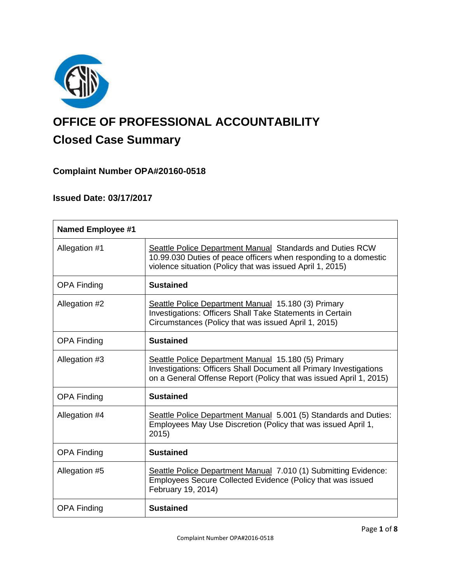

# **OFFICE OF PROFESSIONAL ACCOUNTABILITY Closed Case Summary**

# **Complaint Number OPA#20160-0518**

# **Issued Date: 03/17/2017**

| <b>Named Employee #1</b> |                                                                                                                                                                                                 |  |
|--------------------------|-------------------------------------------------------------------------------------------------------------------------------------------------------------------------------------------------|--|
| Allegation #1            | Seattle Police Department Manual Standards and Duties RCW<br>10.99.030 Duties of peace officers when responding to a domestic<br>violence situation (Policy that was issued April 1, 2015)      |  |
| <b>OPA Finding</b>       | <b>Sustained</b>                                                                                                                                                                                |  |
| Allegation #2            | Seattle Police Department Manual 15.180 (3) Primary<br>Investigations: Officers Shall Take Statements in Certain<br>Circumstances (Policy that was issued April 1, 2015)                        |  |
| <b>OPA Finding</b>       | <b>Sustained</b>                                                                                                                                                                                |  |
| Allegation #3            | Seattle Police Department Manual 15.180 (5) Primary<br>Investigations: Officers Shall Document all Primary Investigations<br>on a General Offense Report (Policy that was issued April 1, 2015) |  |
| <b>OPA Finding</b>       | <b>Sustained</b>                                                                                                                                                                                |  |
| Allegation #4            | Seattle Police Department Manual 5.001 (5) Standards and Duties:<br>Employees May Use Discretion (Policy that was issued April 1,<br>2015                                                       |  |
| <b>OPA Finding</b>       | <b>Sustained</b>                                                                                                                                                                                |  |
| Allegation #5            | Seattle Police Department Manual 7.010 (1) Submitting Evidence:<br>Employees Secure Collected Evidence (Policy that was issued<br>February 19, 2014)                                            |  |
| <b>OPA Finding</b>       | <b>Sustained</b>                                                                                                                                                                                |  |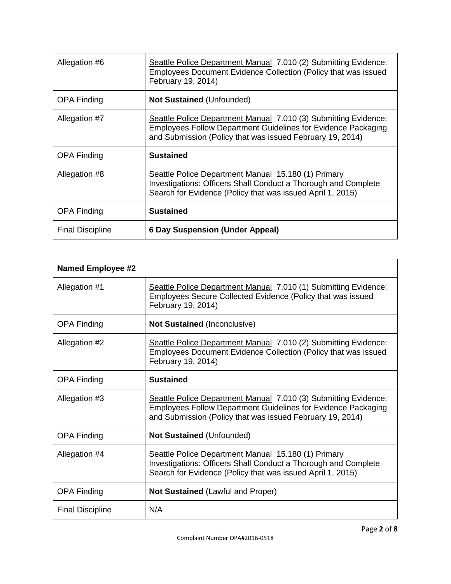| Allegation #6           | Seattle Police Department Manual 7.010 (2) Submitting Evidence:<br>Employees Document Evidence Collection (Policy that was issued<br>February 19, 2014)                                              |
|-------------------------|------------------------------------------------------------------------------------------------------------------------------------------------------------------------------------------------------|
| <b>OPA Finding</b>      | <b>Not Sustained (Unfounded)</b>                                                                                                                                                                     |
| Allegation #7           | Seattle Police Department Manual 7.010 (3) Submitting Evidence:<br><b>Employees Follow Department Guidelines for Evidence Packaging</b><br>and Submission (Policy that was issued February 19, 2014) |
| <b>OPA Finding</b>      | <b>Sustained</b>                                                                                                                                                                                     |
| Allegation #8           | Seattle Police Department Manual 15.180 (1) Primary<br>Investigations: Officers Shall Conduct a Thorough and Complete<br>Search for Evidence (Policy that was issued April 1, 2015)                  |
| <b>OPA Finding</b>      | <b>Sustained</b>                                                                                                                                                                                     |
| <b>Final Discipline</b> | <b>6 Day Suspension (Under Appeal)</b>                                                                                                                                                               |

| <b>Named Employee #2</b> |                                                                                                                                                                                                      |
|--------------------------|------------------------------------------------------------------------------------------------------------------------------------------------------------------------------------------------------|
| Allegation #1            | Seattle Police Department Manual 7.010 (1) Submitting Evidence:<br>Employees Secure Collected Evidence (Policy that was issued<br>February 19, 2014)                                                 |
| <b>OPA Finding</b>       | <b>Not Sustained (Inconclusive)</b>                                                                                                                                                                  |
| Allegation #2            | Seattle Police Department Manual 7.010 (2) Submitting Evidence:<br>Employees Document Evidence Collection (Policy that was issued<br>February 19, 2014)                                              |
| <b>OPA Finding</b>       | <b>Sustained</b>                                                                                                                                                                                     |
| Allegation #3            | Seattle Police Department Manual 7.010 (3) Submitting Evidence:<br><b>Employees Follow Department Guidelines for Evidence Packaging</b><br>and Submission (Policy that was issued February 19, 2014) |
| <b>OPA Finding</b>       | <b>Not Sustained (Unfounded)</b>                                                                                                                                                                     |
| Allegation #4            | Seattle Police Department Manual 15.180 (1) Primary<br>Investigations: Officers Shall Conduct a Thorough and Complete<br>Search for Evidence (Policy that was issued April 1, 2015)                  |
| <b>OPA Finding</b>       | <b>Not Sustained (Lawful and Proper)</b>                                                                                                                                                             |
| <b>Final Discipline</b>  | N/A                                                                                                                                                                                                  |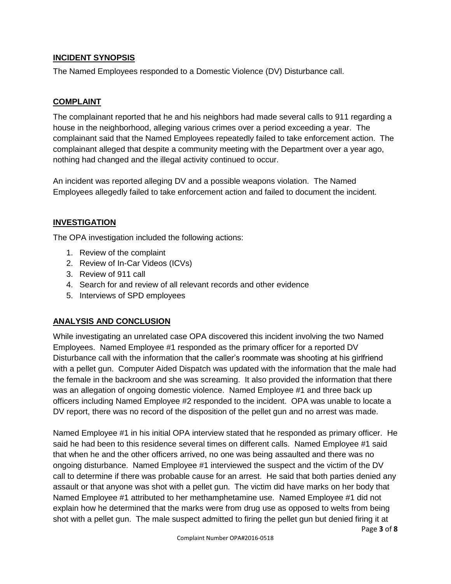# **INCIDENT SYNOPSIS**

The Named Employees responded to a Domestic Violence (DV) Disturbance call.

# **COMPLAINT**

The complainant reported that he and his neighbors had made several calls to 911 regarding a house in the neighborhood, alleging various crimes over a period exceeding a year. The complainant said that the Named Employees repeatedly failed to take enforcement action. The complainant alleged that despite a community meeting with the Department over a year ago, nothing had changed and the illegal activity continued to occur.

An incident was reported alleging DV and a possible weapons violation. The Named Employees allegedly failed to take enforcement action and failed to document the incident.

# **INVESTIGATION**

The OPA investigation included the following actions:

- 1. Review of the complaint
- 2. Review of In-Car Videos (ICVs)
- 3. Review of 911 call
- 4. Search for and review of all relevant records and other evidence
- 5. Interviews of SPD employees

# **ANALYSIS AND CONCLUSION**

While investigating an unrelated case OPA discovered this incident involving the two Named Employees. Named Employee #1 responded as the primary officer for a reported DV Disturbance call with the information that the caller's roommate was shooting at his girlfriend with a pellet gun. Computer Aided Dispatch was updated with the information that the male had the female in the backroom and she was screaming. It also provided the information that there was an allegation of ongoing domestic violence. Named Employee #1 and three back up officers including Named Employee #2 responded to the incident. OPA was unable to locate a DV report, there was no record of the disposition of the pellet gun and no arrest was made.

Named Employee #1 in his initial OPA interview stated that he responded as primary officer. He said he had been to this residence several times on different calls. Named Employee #1 said that when he and the other officers arrived, no one was being assaulted and there was no ongoing disturbance. Named Employee #1 interviewed the suspect and the victim of the DV call to determine if there was probable cause for an arrest. He said that both parties denied any assault or that anyone was shot with a pellet gun. The victim did have marks on her body that Named Employee #1 attributed to her methamphetamine use. Named Employee #1 did not explain how he determined that the marks were from drug use as opposed to welts from being shot with a pellet gun. The male suspect admitted to firing the pellet gun but denied firing it at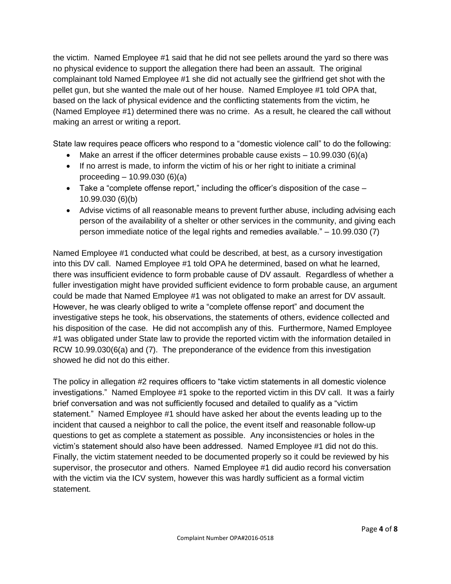the victim. Named Employee #1 said that he did not see pellets around the yard so there was no physical evidence to support the allegation there had been an assault. The original complainant told Named Employee #1 she did not actually see the girlfriend get shot with the pellet gun, but she wanted the male out of her house. Named Employee #1 told OPA that, based on the lack of physical evidence and the conflicting statements from the victim, he (Named Employee #1) determined there was no crime. As a result, he cleared the call without making an arrest or writing a report.

State law requires peace officers who respond to a "domestic violence call" to do the following:

- Make an arrest if the officer determines probable cause exists  $-10.99.030(6)(a)$
- If no arrest is made, to inform the victim of his or her right to initiate a criminal proceeding – 10.99.030 (6)(a)
- $\bullet$  Take a "complete offense report," including the officer's disposition of the case  $-$ 10.99.030 (6)(b)
- Advise victims of all reasonable means to prevent further abuse, including advising each person of the availability of a shelter or other services in the community, and giving each person immediate notice of the legal rights and remedies available." – 10.99.030 (7)

Named Employee #1 conducted what could be described, at best, as a cursory investigation into this DV call. Named Employee #1 told OPA he determined, based on what he learned, there was insufficient evidence to form probable cause of DV assault. Regardless of whether a fuller investigation might have provided sufficient evidence to form probable cause, an argument could be made that Named Employee #1 was not obligated to make an arrest for DV assault. However, he was clearly obliged to write a "complete offense report" and document the investigative steps he took, his observations, the statements of others, evidence collected and his disposition of the case. He did not accomplish any of this. Furthermore, Named Employee #1 was obligated under State law to provide the reported victim with the information detailed in RCW 10.99.030(6(a) and (7). The preponderance of the evidence from this investigation showed he did not do this either.

The policy in allegation #2 requires officers to "take victim statements in all domestic violence investigations." Named Employee #1 spoke to the reported victim in this DV call. It was a fairly brief conversation and was not sufficiently focused and detailed to qualify as a "victim statement." Named Employee #1 should have asked her about the events leading up to the incident that caused a neighbor to call the police, the event itself and reasonable follow-up questions to get as complete a statement as possible. Any inconsistencies or holes in the victim's statement should also have been addressed. Named Employee #1 did not do this. Finally, the victim statement needed to be documented properly so it could be reviewed by his supervisor, the prosecutor and others. Named Employee #1 did audio record his conversation with the victim via the ICV system, however this was hardly sufficient as a formal victim statement.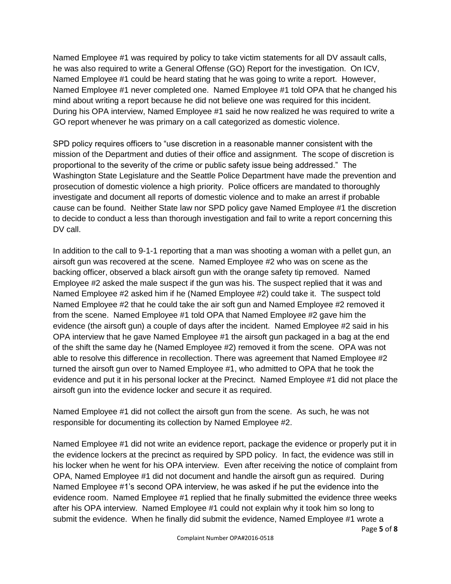Named Employee #1 was required by policy to take victim statements for all DV assault calls, he was also required to write a General Offense (GO) Report for the investigation. On ICV, Named Employee #1 could be heard stating that he was going to write a report. However, Named Employee #1 never completed one. Named Employee #1 told OPA that he changed his mind about writing a report because he did not believe one was required for this incident. During his OPA interview, Named Employee #1 said he now realized he was required to write a GO report whenever he was primary on a call categorized as domestic violence.

SPD policy requires officers to "use discretion in a reasonable manner consistent with the mission of the Department and duties of their office and assignment. The scope of discretion is proportional to the severity of the crime or public safety issue being addressed." The Washington State Legislature and the Seattle Police Department have made the prevention and prosecution of domestic violence a high priority. Police officers are mandated to thoroughly investigate and document all reports of domestic violence and to make an arrest if probable cause can be found. Neither State law nor SPD policy gave Named Employee #1 the discretion to decide to conduct a less than thorough investigation and fail to write a report concerning this DV call.

In addition to the call to 9-1-1 reporting that a man was shooting a woman with a pellet gun, an airsoft gun was recovered at the scene. Named Employee #2 who was on scene as the backing officer, observed a black airsoft gun with the orange safety tip removed. Named Employee #2 asked the male suspect if the gun was his. The suspect replied that it was and Named Employee #2 asked him if he (Named Employee #2) could take it. The suspect told Named Employee #2 that he could take the air soft gun and Named Employee #2 removed it from the scene. Named Employee #1 told OPA that Named Employee #2 gave him the evidence (the airsoft gun) a couple of days after the incident. Named Employee #2 said in his OPA interview that he gave Named Employee #1 the airsoft gun packaged in a bag at the end of the shift the same day he (Named Employee #2) removed it from the scene. OPA was not able to resolve this difference in recollection. There was agreement that Named Employee #2 turned the airsoft gun over to Named Employee #1, who admitted to OPA that he took the evidence and put it in his personal locker at the Precinct. Named Employee #1 did not place the airsoft gun into the evidence locker and secure it as required.

Named Employee #1 did not collect the airsoft gun from the scene. As such, he was not responsible for documenting its collection by Named Employee #2.

Named Employee #1 did not write an evidence report, package the evidence or properly put it in the evidence lockers at the precinct as required by SPD policy. In fact, the evidence was still in his locker when he went for his OPA interview. Even after receiving the notice of complaint from OPA, Named Employee #1 did not document and handle the airsoft gun as required. During Named Employee #1's second OPA interview, he was asked if he put the evidence into the evidence room. Named Employee #1 replied that he finally submitted the evidence three weeks after his OPA interview. Named Employee #1 could not explain why it took him so long to submit the evidence. When he finally did submit the evidence, Named Employee #1 wrote a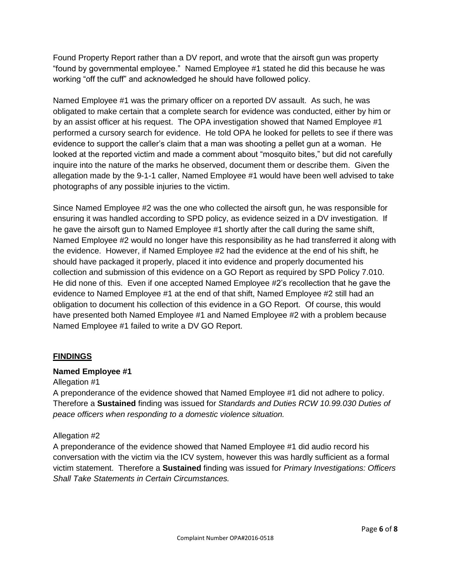Found Property Report rather than a DV report, and wrote that the airsoft gun was property "found by governmental employee." Named Employee #1 stated he did this because he was working "off the cuff" and acknowledged he should have followed policy.

Named Employee #1 was the primary officer on a reported DV assault. As such, he was obligated to make certain that a complete search for evidence was conducted, either by him or by an assist officer at his request. The OPA investigation showed that Named Employee #1 performed a cursory search for evidence. He told OPA he looked for pellets to see if there was evidence to support the caller's claim that a man was shooting a pellet gun at a woman. He looked at the reported victim and made a comment about "mosquito bites," but did not carefully inquire into the nature of the marks he observed, document them or describe them. Given the allegation made by the 9-1-1 caller, Named Employee #1 would have been well advised to take photographs of any possible injuries to the victim.

Since Named Employee #2 was the one who collected the airsoft gun, he was responsible for ensuring it was handled according to SPD policy, as evidence seized in a DV investigation. If he gave the airsoft gun to Named Employee #1 shortly after the call during the same shift, Named Employee #2 would no longer have this responsibility as he had transferred it along with the evidence. However, if Named Employee #2 had the evidence at the end of his shift, he should have packaged it properly, placed it into evidence and properly documented his collection and submission of this evidence on a GO Report as required by SPD Policy 7.010. He did none of this. Even if one accepted Named Employee #2's recollection that he gave the evidence to Named Employee #1 at the end of that shift, Named Employee #2 still had an obligation to document his collection of this evidence in a GO Report. Of course, this would have presented both Named Employee #1 and Named Employee #2 with a problem because Named Employee #1 failed to write a DV GO Report.

# **FINDINGS**

## **Named Employee #1**

## Allegation #1

A preponderance of the evidence showed that Named Employee #1 did not adhere to policy. Therefore a **Sustained** finding was issued for *Standards and Duties RCW 10.99.030 Duties of peace officers when responding to a domestic violence situation.*

## Allegation #2

A preponderance of the evidence showed that Named Employee #1 did audio record his conversation with the victim via the ICV system, however this was hardly sufficient as a formal victim statement. Therefore a **Sustained** finding was issued for *Primary Investigations: Officers Shall Take Statements in Certain Circumstances.*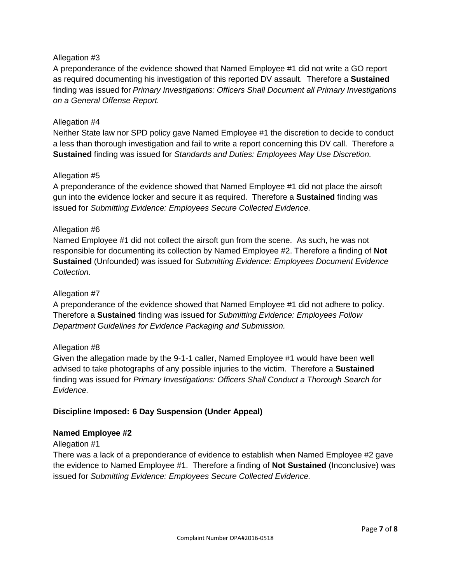## Allegation #3

A preponderance of the evidence showed that Named Employee #1 did not write a GO report as required documenting his investigation of this reported DV assault. Therefore a **Sustained** finding was issued for *Primary Investigations: Officers Shall Document all Primary Investigations on a General Offense Report.*

#### Allegation #4

Neither State law nor SPD policy gave Named Employee #1 the discretion to decide to conduct a less than thorough investigation and fail to write a report concerning this DV call. Therefore a **Sustained** finding was issued for *Standards and Duties: Employees May Use Discretion.*

#### Allegation #5

A preponderance of the evidence showed that Named Employee #1 did not place the airsoft gun into the evidence locker and secure it as required. Therefore a **Sustained** finding was issued for *Submitting Evidence: Employees Secure Collected Evidence.*

#### Allegation #6

Named Employee #1 did not collect the airsoft gun from the scene. As such, he was not responsible for documenting its collection by Named Employee #2. Therefore a finding of **Not Sustained** (Unfounded) was issued for *Submitting Evidence: Employees Document Evidence Collection.*

#### Allegation #7

A preponderance of the evidence showed that Named Employee #1 did not adhere to policy. Therefore a **Sustained** finding was issued for *Submitting Evidence: Employees Follow Department Guidelines for Evidence Packaging and Submission.*

#### Allegation #8

Given the allegation made by the 9-1-1 caller, Named Employee #1 would have been well advised to take photographs of any possible injuries to the victim. Therefore a **Sustained** finding was issued for *Primary Investigations: Officers Shall Conduct a Thorough Search for Evidence.*

## **Discipline Imposed: 6 Day Suspension (Under Appeal)**

#### **Named Employee #2**

#### Allegation #1

There was a lack of a preponderance of evidence to establish when Named Employee #2 gave the evidence to Named Employee #1. Therefore a finding of **Not Sustained** (Inconclusive) was issued for *Submitting Evidence: Employees Secure Collected Evidence.*